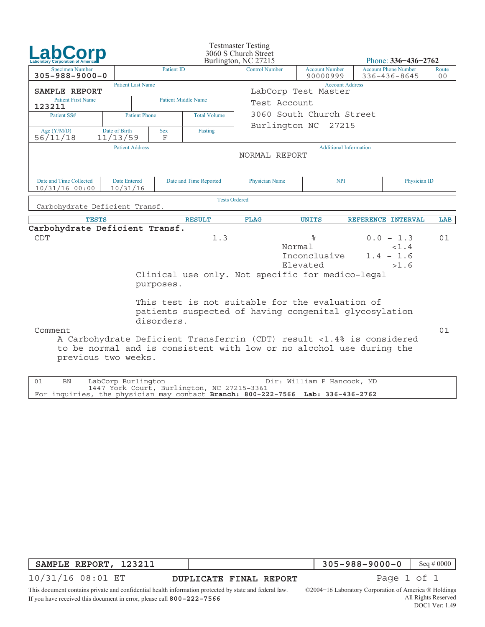| <b>Laboratory Corporation of Americ</b>                               |                                 |                          |                 |                                            | <b>Testmaster Testing</b><br>3060 S Church Street<br>Burlington, NC 27215                                                                                                                                                                                 |                                                                                  |                               | Phone: $336 - 436 - 2762$                   |              |  |
|-----------------------------------------------------------------------|---------------------------------|--------------------------|-----------------|--------------------------------------------|-----------------------------------------------------------------------------------------------------------------------------------------------------------------------------------------------------------------------------------------------------------|----------------------------------------------------------------------------------|-------------------------------|---------------------------------------------|--------------|--|
| <b>Patient ID</b><br><b>Specimen Number</b><br>$305 - 988 - 9000 - 0$ |                                 |                          |                 | <b>Control Number</b>                      |                                                                                                                                                                                                                                                           | <b>Account Phone Number</b><br><b>Account Number</b><br>90000999<br>336-436-8645 |                               |                                             |              |  |
| SAMPLE REPORT                                                         |                                 | <b>Patient Last Name</b> |                 |                                            | <b>Account Address</b><br>LabCorp Test Master                                                                                                                                                                                                             |                                                                                  |                               |                                             |              |  |
| <b>Patient First Name</b><br>123211                                   |                                 |                          |                 | <b>Patient Middle Name</b>                 | Test Account                                                                                                                                                                                                                                              |                                                                                  |                               |                                             |              |  |
| Patient SS#                                                           |                                 | <b>Patient Phone</b>     |                 | <b>Total Volume</b>                        | 3060 South Church Street                                                                                                                                                                                                                                  |                                                                                  |                               |                                             |              |  |
| Age $(Y/M/D)$<br>56/11/18                                             | Date of Birth<br>11/13/59       |                          | <b>Sex</b><br>F | Fasting                                    | Burlington NC<br>27215                                                                                                                                                                                                                                    |                                                                                  |                               |                                             |              |  |
|                                                                       |                                 | <b>Patient Address</b>   |                 |                                            | NORMAL REPORT                                                                                                                                                                                                                                             |                                                                                  | <b>Additional Information</b> |                                             |              |  |
| Date and Time Collected<br>$10/31/16$ 00:00                           | <b>Date Entered</b><br>10/31/16 |                          |                 | Date and Time Reported                     | Physician Name                                                                                                                                                                                                                                            | <b>NPI</b>                                                                       |                               |                                             | Physician ID |  |
| Carbohydrate Deficient Transf.                                        |                                 |                          |                 |                                            | <b>Tests Ordered</b>                                                                                                                                                                                                                                      |                                                                                  |                               |                                             |              |  |
|                                                                       | <b>TESTS</b>                    |                          |                 | <b>RESULT</b>                              | <b>FLAG</b>                                                                                                                                                                                                                                               | <b>UNITS</b>                                                                     |                               | REFERENCE INTERVAL                          | LAB          |  |
| Carbohydrate Deficient Transf.<br><b>CDT</b>                          |                                 |                          | purposes.       | 1.3                                        | Clinical use only. Not specific for medico-legal                                                                                                                                                                                                          | ిన<br>Normal<br>Inconclusive<br>Elevated                                         |                               | $0.0 - 1.3$<br>< 1.4<br>$1.4 - 1.6$<br>>1.6 | 01           |  |
| Comment                                                               | previous two weeks.             |                          | disorders.      |                                            | This test is not suitable for the evaluation of<br>patients suspected of having congenital glycosylation<br>A Carbohydrate Deficient Transferrin (CDT) result <1.4% is considered<br>to be normal and is consistent with low or no alcohol use during the |                                                                                  |                               |                                             | 01           |  |
| 01<br>BN                                                              | LabCorp Burlington              |                          |                 | 1447 York Court, Burlington, NC 27215-3361 |                                                                                                                                                                                                                                                           | Dir: William F Hancock, MD                                                       |                               |                                             |              |  |

| SAMPLE REPORT, 123211 |  |
|-----------------------|--|

**305−988−9000−0** Seq # 0000

10/31/16 08:01 ET

**DUPLICATE FINAL REPORT Page 1 of 1** 

For inquiries, the physician may contact **Branch: 800−222−7566 Lab: 336−436−2762**

©2004−16 Laboratory Corporation of America ® Holdings

This document contains private and confidential health information protected by state and federal law. If you have received this document in error, please call **800−222−7566**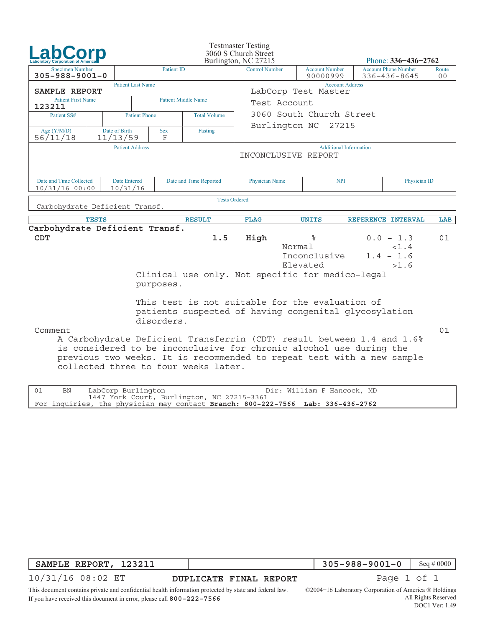| <b>Laboratory Corporation of Americ</b>                               |                                 |                 |                                      | <b>Testmaster Testing</b><br>3060 S Church Street<br>Burlington, NC 27215                                                                                                                                                                                                                                                           |                                          |  | Phone: $336 - 436 - 2762$                   |             |
|-----------------------------------------------------------------------|---------------------------------|-----------------|--------------------------------------|-------------------------------------------------------------------------------------------------------------------------------------------------------------------------------------------------------------------------------------------------------------------------------------------------------------------------------------|------------------------------------------|--|---------------------------------------------|-------------|
| <b>Patient ID</b><br><b>Specimen Number</b><br>$305 - 988 - 9001 - 0$ |                                 |                 |                                      | <b>Control Number</b>                                                                                                                                                                                                                                                                                                               | <b>Account Number</b><br>90000999        |  | <b>Account Phone Number</b><br>336-436-8645 | Route<br>00 |
| SAMPLE REPORT                                                         | <b>Patient Last Name</b>        |                 |                                      | <b>Account Address</b><br>LabCorp Test Master                                                                                                                                                                                                                                                                                       |                                          |  |                                             |             |
| <b>Patient First Name</b><br>123211                                   |                                 |                 | <b>Patient Middle Name</b>           | Test Account                                                                                                                                                                                                                                                                                                                        |                                          |  |                                             |             |
| Patient SS#                                                           | <b>Patient Phone</b>            |                 | <b>Total Volume</b>                  | 3060 South Church Street                                                                                                                                                                                                                                                                                                            |                                          |  |                                             |             |
| Age $(Y/M/D)$<br>56/11/18                                             | Date of Birth<br>11/13/59       | <b>Sex</b><br>F | Fasting                              | Burlington NC 27215                                                                                                                                                                                                                                                                                                                 |                                          |  |                                             |             |
|                                                                       | <b>Patient Address</b>          |                 |                                      | INCONCLUSIVE REPORT                                                                                                                                                                                                                                                                                                                 | <b>Additional Information</b>            |  |                                             |             |
| Date and Time Collected<br>$10/31/16$ 00:00                           | <b>Date Entered</b><br>10/31/16 |                 | Date and Time Reported               | Physician Name                                                                                                                                                                                                                                                                                                                      | Physician ID<br><b>NPI</b>               |  |                                             |             |
| Carbohydrate Deficient Transf.                                        |                                 |                 |                                      | <b>Tests Ordered</b>                                                                                                                                                                                                                                                                                                                |                                          |  |                                             |             |
| <b>TESTS</b>                                                          |                                 |                 | <b>RESULT</b>                        | <b>FLAG</b>                                                                                                                                                                                                                                                                                                                         | <b>UNITS</b>                             |  | REFERENCE INTERVAL                          | LAB         |
| Carbohydrate Deficient Transf.<br>CDT                                 |                                 | purposes.       | 1.5                                  | High<br>Clinical use only. Not specific for medico-legal                                                                                                                                                                                                                                                                            | နွ<br>Normal<br>Inconclusive<br>Elevated |  | $0.0 - 1.3$<br>< 1.4<br>$1.4 - 1.6$<br>>1.6 | 01          |
| Comment                                                               |                                 | disorders.      | collected three to four weeks later. | This test is not suitable for the evaluation of<br>patients suspected of having congenital glycosylation<br>A Carbohydrate Deficient Transferrin (CDT) result between 1.4 and 1.6%<br>is considered to be inconclusive for chronic alcohol use during the<br>previous two weeks. It is recommended to repeat test with a new sample |                                          |  |                                             | 01          |
| 01<br>BN                                                              | LabCorp Burlington              |                 |                                      |                                                                                                                                                                                                                                                                                                                                     | Dir: William F Hancock, MD               |  |                                             |             |

| SAMPLE REPORT, | 123211 |
|----------------|--------|

10/31/16 08:02 ET

**DUPLICATE FINAL REPORT Page 1 of 1** 

This document contains private and confidential health information protected by state and federal law. If you have received this document in error, please call **800−222−7566**

1447 York Court, Burlington, NC 27215−3361

For inquiries, the physician may contact **Branch: 800−222−7566 Lab: 336−436−2762**

©2004−16 Laboratory Corporation of America ® Holdings All Rights Reserved DOC1 Ver: 1.49

**305−988−9001−0** Seq # 0000